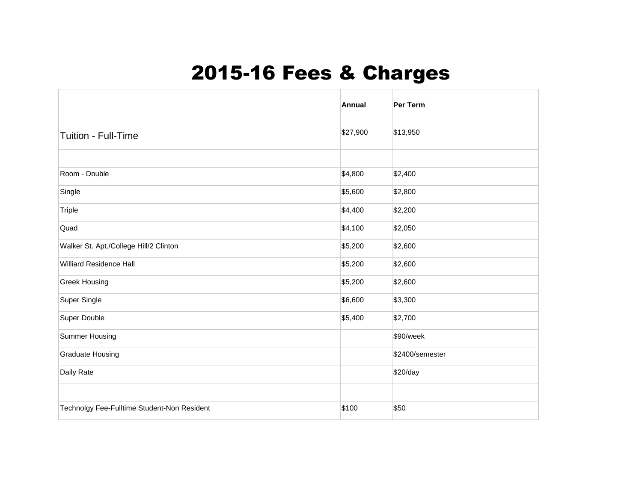## 2015-16 Fees & Charges

|                                             | <b>Annual</b> | <b>Per Term</b> |
|---------------------------------------------|---------------|-----------------|
| Tuition - Full-Time                         | \$27,900      | \$13,950        |
|                                             |               |                 |
| Room - Double                               | \$4,800       | \$2,400         |
| Single                                      | \$5,600       | \$2,800         |
| <b>Triple</b>                               | \$4,400       | \$2,200         |
| Quad                                        | \$4,100       | \$2,050         |
| Walker St. Apt./College Hill/2 Clinton      | \$5,200       | \$2,600         |
| <b>Williard Residence Hall</b>              | \$5,200       | \$2,600         |
| <b>Greek Housing</b>                        | \$5,200       | \$2,600         |
| Super Single                                | \$6,600       | \$3,300         |
| Super Double                                | \$5,400       | \$2,700         |
| Summer Housing                              |               | \$90/week       |
| <b>Graduate Housing</b>                     |               | \$2400/semester |
| Daily Rate                                  |               | \$20/day        |
|                                             |               |                 |
| Technolgy Fee-Fulltime Student-Non Resident | \$100         | \$50            |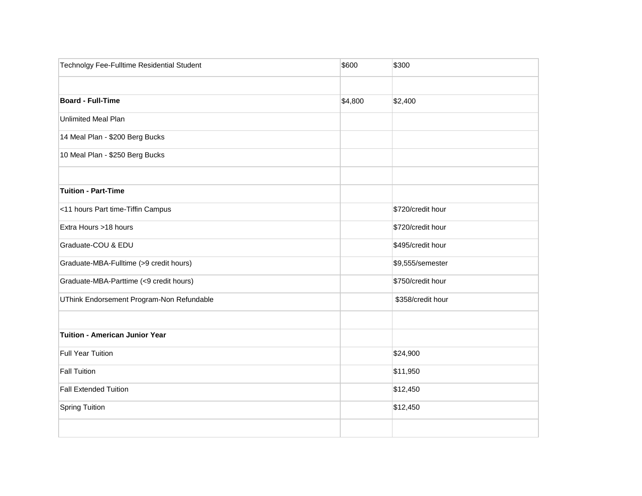| Technolgy Fee-Fulltime Residential Student | \$600   | \$300             |
|--------------------------------------------|---------|-------------------|
|                                            |         |                   |
| <b>Board - Full-Time</b>                   | \$4,800 | \$2,400           |
| <b>Unlimited Meal Plan</b>                 |         |                   |
| 14 Meal Plan - \$200 Berg Bucks            |         |                   |
| 10 Meal Plan - \$250 Berg Bucks            |         |                   |
| <b>Tuition - Part-Time</b>                 |         |                   |
| <11 hours Part time-Tiffin Campus          |         | \$720/credit hour |
| Extra Hours >18 hours                      |         | \$720/credit hour |
| Graduate-COU & EDU                         |         | \$495/credit hour |
| Graduate-MBA-Fulltime (>9 credit hours)    |         | \$9,555/semester  |
| Graduate-MBA-Parttime (<9 credit hours)    |         | \$750/credit hour |
| UThink Endorsement Program-Non Refundable  |         | \$358/credit hour |
| <b>Tuition - American Junior Year</b>      |         |                   |
| <b>Full Year Tuition</b>                   |         | \$24,900          |
| <b>Fall Tuition</b>                        |         | \$11,950          |
| <b>Fall Extended Tuition</b>               |         | \$12,450          |
| <b>Spring Tuition</b>                      |         | \$12,450          |
|                                            |         |                   |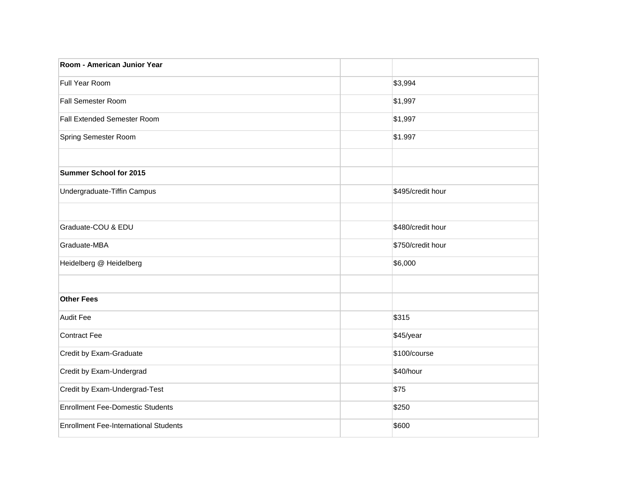| Room - American Junior Year                  |                   |
|----------------------------------------------|-------------------|
| Full Year Room                               | \$3,994           |
| <b>Fall Semester Room</b>                    | \$1,997           |
| Fall Extended Semester Room                  | \$1,997           |
| Spring Semester Room                         | \$1.997           |
|                                              |                   |
| Summer School for 2015                       |                   |
| Undergraduate-Tiffin Campus                  | \$495/credit hour |
|                                              |                   |
| Graduate-COU & EDU                           | \$480/credit hour |
| Graduate-MBA                                 | \$750/credit hour |
| Heidelberg @ Heidelberg                      | \$6,000           |
|                                              |                   |
| <b>Other Fees</b>                            |                   |
| <b>Audit Fee</b>                             | \$315             |
| Contract Fee                                 | \$45/year         |
| Credit by Exam-Graduate                      | \$100/course      |
| Credit by Exam-Undergrad                     | \$40/hour         |
| Credit by Exam-Undergrad-Test                | \$75              |
| <b>Enrollment Fee-Domestic Students</b>      | \$250             |
| <b>Enrollment Fee-International Students</b> | \$600             |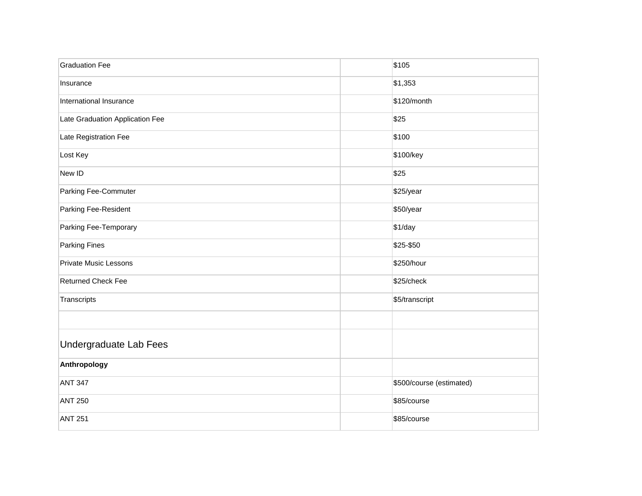| <b>Graduation Fee</b>           | \$105                    |
|---------------------------------|--------------------------|
| Insurance                       | \$1,353                  |
| International Insurance         | \$120/month              |
| Late Graduation Application Fee | \$25                     |
| Late Registration Fee           | \$100                    |
| Lost Key                        | \$100/key                |
| New ID                          | \$25                     |
| Parking Fee-Commuter            | \$25/year                |
| Parking Fee-Resident            | \$50/year                |
| Parking Fee-Temporary           | \$1/day                  |
| <b>Parking Fines</b>            | \$25-\$50                |
| <b>Private Music Lessons</b>    | \$250/hour               |
| <b>Returned Check Fee</b>       | \$25/check               |
| Transcripts                     | \$5/transcript           |
|                                 |                          |
| <b>Undergraduate Lab Fees</b>   |                          |
| Anthropology                    |                          |
| <b>ANT 347</b>                  | \$500/course (estimated) |
| <b>ANT 250</b>                  | \$85/course              |
| <b>ANT 251</b>                  | \$85/course              |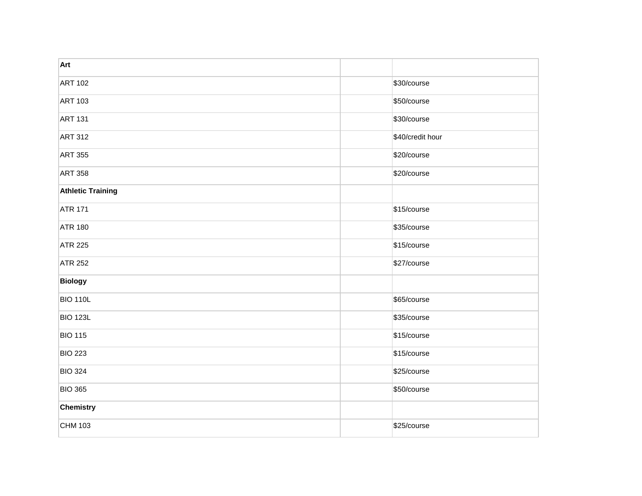| Art                      |                  |
|--------------------------|------------------|
| <b>ART 102</b>           | \$30/course      |
| <b>ART 103</b>           | \$50/course      |
| <b>ART 131</b>           | \$30/course      |
| <b>ART 312</b>           | \$40/credit hour |
| <b>ART 355</b>           | \$20/course      |
| <b>ART 358</b>           | \$20/course      |
| <b>Athletic Training</b> |                  |
| <b>ATR 171</b>           | \$15/course      |
| <b>ATR 180</b>           | \$35/course      |
| <b>ATR 225</b>           | \$15/course      |
| <b>ATR 252</b>           | \$27/course      |
| <b>Biology</b>           |                  |
| <b>BIO 110L</b>          | \$65/course      |
| <b>BIO 123L</b>          | \$35/course      |
| <b>BIO 115</b>           | \$15/course      |
| <b>BIO 223</b>           | \$15/course      |
| <b>BIO 324</b>           | \$25/course      |
| <b>BIO 365</b>           | \$50/course      |
| Chemistry                |                  |
| CHM 103                  | \$25/course      |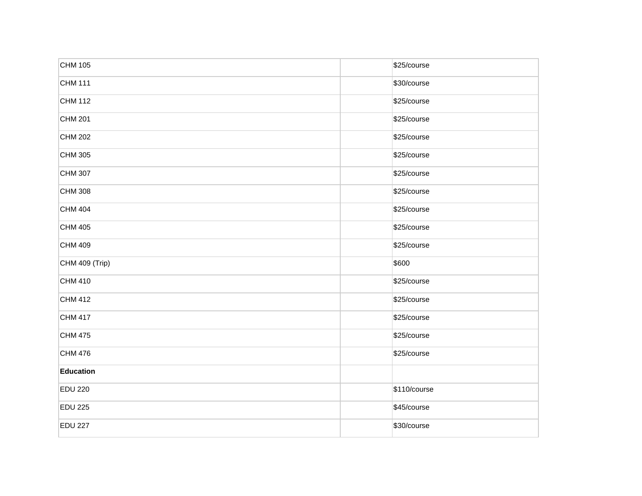| CHM 105        | \$25/course  |
|----------------|--------------|
| <b>CHM 111</b> | \$30/course  |
| CHM 112        | \$25/course  |
| CHM 201        | \$25/course  |
| CHM 202        | \$25/course  |
| CHM 305        | \$25/course  |
| CHM 307        | \$25/course  |
| CHM 308        | \$25/course  |
| CHM 404        | \$25/course  |
| CHM 405        | \$25/course  |
| CHM 409        | \$25/course  |
| CHM 409 (Trip) | \$600        |
| CHM 410        | \$25/course  |
| CHM 412        | \$25/course  |
| CHM 417        | \$25/course  |
| CHM 475        | \$25/course  |
| CHM 476        | \$25/course  |
| Education      |              |
| <b>EDU 220</b> | \$110/course |
| <b>EDU 225</b> | \$45/course  |
| <b>EDU 227</b> | \$30/course  |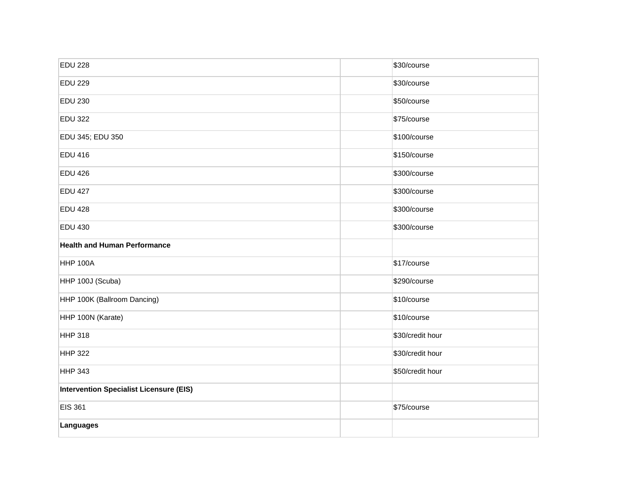| <b>EDU 228</b>                                 | \$30/course      |
|------------------------------------------------|------------------|
| <b>EDU 229</b>                                 | \$30/course      |
| <b>EDU 230</b>                                 | \$50/course      |
| <b>EDU 322</b>                                 | \$75/course      |
| EDU 345; EDU 350                               | \$100/course     |
| <b>EDU 416</b>                                 | \$150/course     |
| <b>EDU 426</b>                                 | \$300/course     |
| <b>EDU 427</b>                                 | \$300/course     |
| <b>EDU 428</b>                                 | \$300/course     |
| <b>EDU 430</b>                                 | \$300/course     |
| <b>Health and Human Performance</b>            |                  |
| <b>HHP 100A</b>                                | \$17/course      |
| HHP 100J (Scuba)                               | \$290/course     |
| HHP 100K (Ballroom Dancing)                    | \$10/course      |
| HHP 100N (Karate)                              | \$10/course      |
| <b>HHP 318</b>                                 | \$30/credit hour |
| <b>HHP 322</b>                                 | \$30/credit hour |
| <b>HHP 343</b>                                 | \$50/credit hour |
| <b>Intervention Specialist Licensure (EIS)</b> |                  |
| <b>EIS 361</b>                                 | \$75/course      |
| Languages                                      |                  |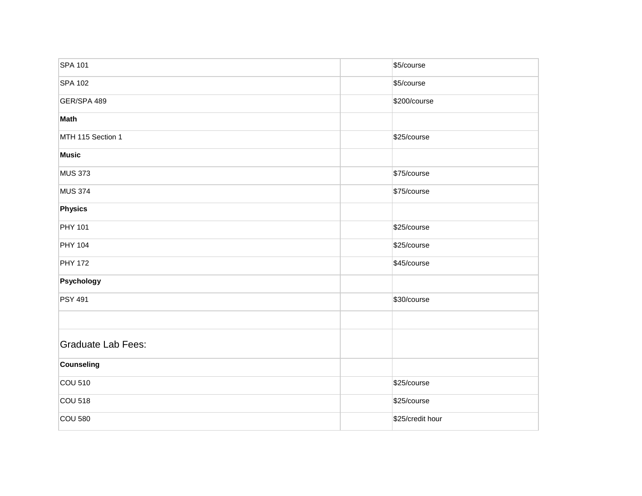| <b>SPA 101</b>            | \$5/course       |
|---------------------------|------------------|
| <b>SPA 102</b>            | \$5/course       |
| GER/SPA 489               | \$200/course     |
| Math                      |                  |
| MTH 115 Section 1         | \$25/course      |
| <b>Music</b>              |                  |
| <b>MUS 373</b>            | \$75/course      |
| <b>MUS 374</b>            | \$75/course      |
| Physics                   |                  |
| <b>PHY 101</b>            | \$25/course      |
| <b>PHY 104</b>            | \$25/course      |
| <b>PHY 172</b>            | \$45/course      |
| Psychology                |                  |
| <b>PSY 491</b>            | \$30/course      |
|                           |                  |
| <b>Graduate Lab Fees:</b> |                  |
| Counseling                |                  |
| <b>COU 510</b>            | \$25/course      |
| <b>COU 518</b>            | \$25/course      |
| <b>COU 580</b>            | \$25/credit hour |